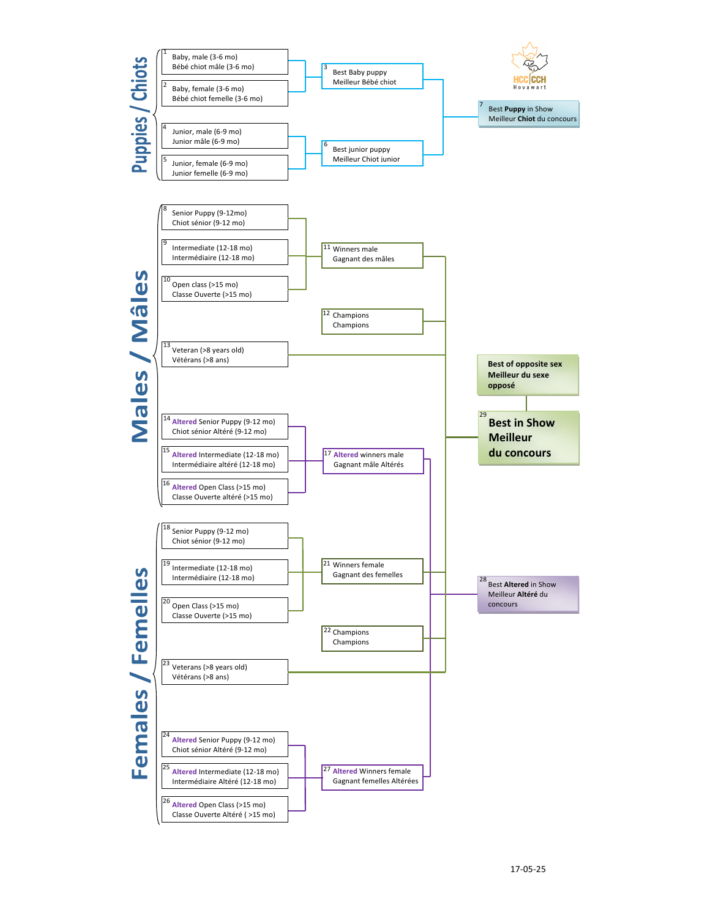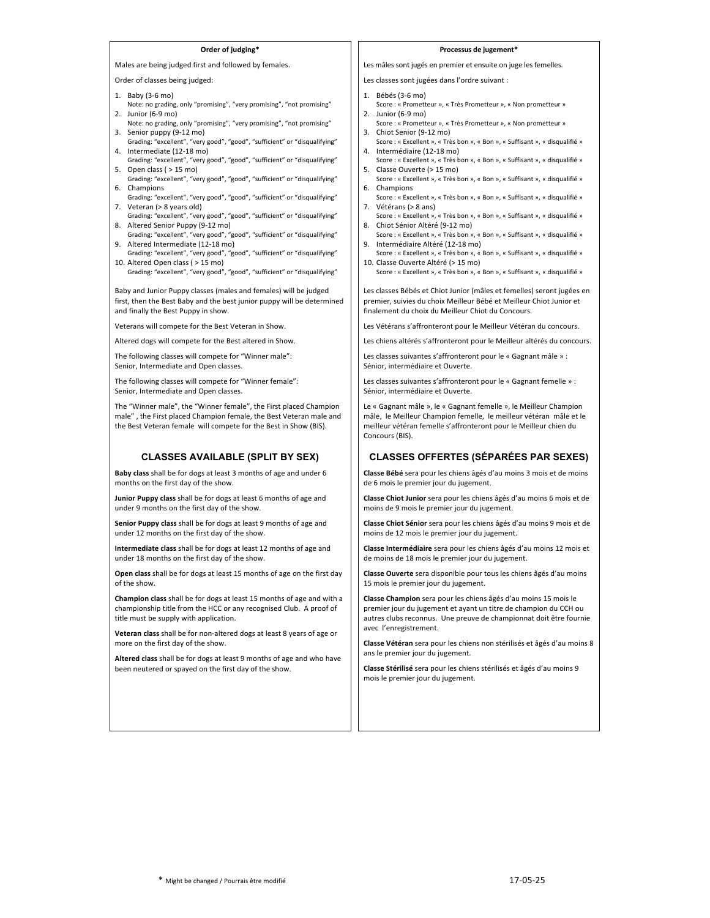# **Order of judging\***

Males are being judged first and followed by females.

Order of classes being judged:

- 1. Baby (3-6 mo)
- Note: no grading, only "promising", "very promising", "not promising" 2. Junior  $(6-9 \text{ mo})$
- Note: no grading, only "promising", "very promising", "not promising" 3. Senior puppy (9-12 mo)
- Grading: "excellent", "very good", "good", "sufficient" or "disqualifying"<br>4. Intermediate (12-18 mo)
- Grading: "excellent", "very good", "good", "sufficient" or "disqualifying" 5. Open class ( $> 15 \text{ mol}$ )
- Grading: "excellent", "very good", "good", "sufficient" or "disqualifying" 6. Champions
- Grading: "excellent", "very good", "good", "sufficient" or "disqualifying" 7. Veteran (> 8 years old)
- Grading: "excellent", "very good", "good", "sufficient" or "disqualifying" 8. Altered Senior Puppy (9-12 mo)
- Grading: "excellent", "very good", "good", "sufficient" or "disqualifying" 9. Altered Intermediate (12-18 mo)
- Grading: "excellent", "very good", "good", "sufficient" or "disqualifying" 10. Altered Open class ( > 15 mo)
- Grading: "excellent", "very good", "good", "sufficient" or "disqualifying"

Baby and Junior Puppy classes (males and females) will be judged first, then the Best Baby and the best junior puppy will be determined and finally the Best Puppy in show.

Veterans will compete for the Best Veteran in Show.

Altered dogs will compete for the Best altered in Show.

The following classes will compete for "Winner male": Senior, Intermediate and Open classes.

The following classes will compete for "Winner female": Senior, Intermediate and Open classes.

The "Winner male", the "Winner female", the First placed Champion male" , the First placed Champion female, the Best Veteran male and the Best Veteran female will compete for the Best in Show (BIS).

## **CLASSES AVAILABLE (SPLIT BY SEX)**

**Baby class** shall be for dogs at least 3 months of age and under 6 months on the first day of the show.

**Junior Puppy class** shall be for dogs at least 6 months of age and under 9 months on the first day of the show.

**Senior Puppy class** shall be for dogs at least 9 months of age and under 12 months on the first day of the show.

**Intermediate class** shall be for dogs at least 12 months of age and under 18 months on the first day of the show.

**Open class** shall be for dogs at least 15 months of age on the first day of the show.

**Champion class** shall be for dogs at least 15 months of age and with a championship title from the HCC or any recognised Club. A proof of title must be supply with application.

**Veteran class** shall be for non-altered dogs at least 8 years of age or more on the first day of the show.

Altered class shall be for dogs at least 9 months of age and who have been neutered or spayed on the first day of the show.

#### **Processus de jugement\***

Les mâles sont jugés en premier et ensuite on juge les femelles.

- Les classes sont jugées dans l'ordre suivant :
- 1. Bébés (3-6 mo)
- Score : « Prometteur », « Très Prometteur », « Non prometteur » 2. Junior  $(6-9 \text{ mo})$
- Score : « Prometteur », « Très Prometteur », « Non prometteur » 3. Chiot Senior (9-12 mo)
- Score : « Excellent », « Très bon », « Bon », « Suffisant », « disqualifié » 4. Intermédiaire (12-18 mo)
- Score : « Excellent », « Très bon », « Bon », « Suffisant », « disqualifié » 5. Classe Ouverte (> 15 mo)
- Score : « Excellent », « Très bon », « Bon », « Suffisant », « disqualifié » 6. Champions
- Score : « Excellent », « Très bon », « Bon », « Suffisant », « disqualifié » 7. Vétérans (> 8 ans)
- Score : « Excellent », « Très bon », « Bon », « Suffisant », « disqualifié » 8. Chiot Sénior Altéré (9-12 mo)
- Score : « Excellent », « Très bon », « Bon », « Suffisant », « disqualifié » 9. Intermédiaire Altéré (12-18 mo)
- Score : « Excellent », « Très bon », « Bon », « Suffisant », « disqualifié » 10. Classe Ouverte Altéré (> 15 mo)
- Score : « Excellent », « Très bon », « Bon », « Suffisant », « disqualifié »

Les classes Bébés et Chiot Junior (mâles et femelles) seront jugées en premier, suivies du choix Meilleur Bébé et Meilleur Chiot Junior et finalement du choix du Meilleur Chiot du Concours.

Les Vétérans s'affronteront pour le Meilleur Vétéran du concours.

Les chiens altérés s'affronteront pour le Meilleur altérés du concours.

Les classes suivantes s'affronteront pour le « Gagnant mâle » : Sénior, intermédiaire et Ouverte.

Les classes suivantes s'affronteront pour le « Gagnant femelle » : Sénior, intermédiaire et Ouverte.

Le « Gagnant mâle », le « Gagnant femelle », le Meilleur Champion mâle, le Meilleur Champion femelle, le meilleur vétéran mâle et le meilleur vétéran femelle s'affronteront pour le Meilleur chien du Concours (BIS).

## **CLASSES OFFERTES (SÉPARÉES PAR SEXES)**

Classe Bébé sera pour les chiens âgés d'au moins 3 mois et de moins de 6 mois le premier jour du jugement.

Classe Chiot Junior sera pour les chiens âgés d'au moins 6 mois et de moins de 9 mois le premier jour du jugement.

Classe Chiot Sénior sera pour les chiens âgés d'au moins 9 mois et de moins de 12 mois le premier jour du jugement.

**Classe Intermédiaire** sera pour les chiens âgés d'au moins 12 mois et de moins de 18 mois le premier jour du jugement.

Classe Ouverte sera disponible pour tous les chiens âgés d'au moins 15 mois le premier jour du jugement.

**Classe Champion** sera pour les chiens âgés d'au moins 15 mois le premier jour du jugement et ayant un titre de champion du CCH ou autres clubs reconnus. Une preuve de championnat doit être fournie avec l'enregistrement.

Classe Vétéran sera pour les chiens non stérilisés et âgés d'au moins 8 ans le premier jour du jugement.

**Classe Stérilisé** sera pour les chiens stérilisés et âgés d'au moins 9 mois le premier jour du jugement.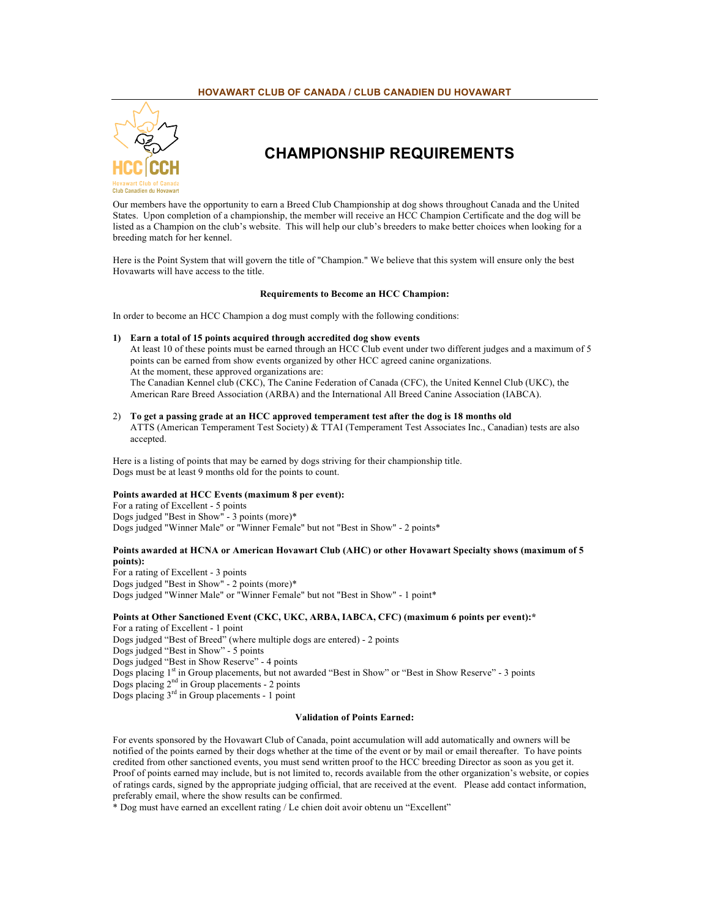# **HOVAWART CLUB OF CANADA / CLUB CANADIEN DU HOVAWART**



# **CHAMPIONSHIP REQUIREMENTS**

Our members have the opportunity to earn a Breed Club Championship at dog shows throughout Canada and the United States. Upon completion of a championship, the member will receive an HCC Champion Certificate and the dog will be listed as a Champion on the club's website. This will help our club's breeders to make better choices when looking for a breeding match for her kennel.

Here is the Point System that will govern the title of "Champion." We believe that this system will ensure only the best Hovawarts will have access to the title.

## **Requirements to Become an HCC Champion:**

In order to become an HCC Champion a dog must comply with the following conditions:

# **1) Earn a total of 15 points acquired through accredited dog show events**

At least 10 of these points must be earned through an HCC Club event under two different judges and a maximum of 5 points can be earned from show events organized by other HCC agreed canine organizations. At the moment, these approved organizations are: The Canadian Kennel club (CKC), The Canine Federation of Canada (CFC), the United Kennel Club (UKC), the American Rare Breed Association (ARBA) and the International All Breed Canine Association (IABCA).

2) **To get a passing grade at an HCC approved temperament test after the dog is 18 months old** ATTS (American Temperament Test Society) & TTAI (Temperament Test Associates Inc., Canadian) tests are also accepted.

Here is a listing of points that may be earned by dogs striving for their championship title. Dogs must be at least 9 months old for the points to count.

# **Points awarded at HCC Events (maximum 8 per event):**

For a rating of Excellent - 5 points Dogs judged "Best in Show" - 3 points (more)\* Dogs judged "Winner Male" or "Winner Female" but not "Best in Show" - 2 points\*

# **Points awarded at HCNA or American Hovawart Club (AHC) or other Hovawart Specialty shows (maximum of 5 points):**

For a rating of Excellent - 3 points Dogs judged "Best in Show" - 2 points (more)\* Dogs judged "Winner Male" or "Winner Female" but not "Best in Show" - 1 point\*

## **Points at Other Sanctioned Event (CKC, UKC, ARBA, IABCA, CFC) (maximum 6 points per event):\***

For a rating of Excellent - 1 point Dogs judged "Best of Breed" (where multiple dogs are entered) - 2 points Dogs judged "Best in Show" - 5 points Dogs judged "Best in Show Reserve" - 4 points Dogs placing 1<sup>st</sup> in Group placements, but not awarded "Best in Show" or "Best in Show Reserve" - 3 points Dogs placing 2nd in Group placements - 2 points Dogs placing 3rd in Group placements - 1 point

# **Validation of Points Earned:**

For events sponsored by the Hovawart Club of Canada, point accumulation will add automatically and owners will be notified of the points earned by their dogs whether at the time of the event or by mail or email thereafter. To have points credited from other sanctioned events, you must send written proof to the HCC breeding Director as soon as you get it. Proof of points earned may include, but is not limited to, records available from the other organization's website, or copies of ratings cards, signed by the appropriate judging official, that are received at the event. Please add contact information, preferably email, where the show results can be confirmed.

\* Dog must have earned an excellent rating / Le chien doit avoir obtenu un "Excellent"